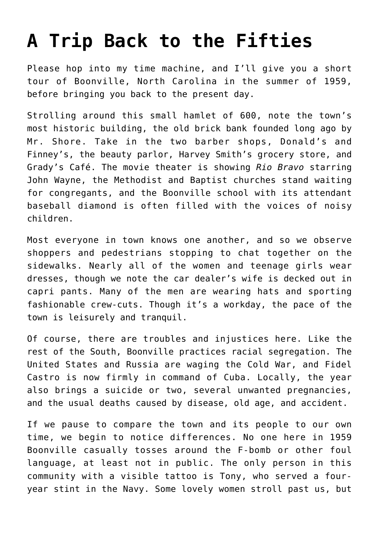## **[A Trip Back to the Fifties](https://intellectualtakeout.org/2021/06/a-trip-back-to-the-fifties/)**

Please hop into my time machine, and I'll give you a short tour of Boonville, North Carolina in the summer of 1959, before bringing you back to the present day.

Strolling around this small hamlet of 600, note the town's most historic building, the old brick bank founded long ago by Mr. Shore. Take in the two barber shops, Donald's and Finney's, the beauty parlor, Harvey Smith's grocery store, and Grady's Café. The movie theater is showing *Rio Bravo* starring John Wayne, the Methodist and Baptist churches stand waiting for congregants, and the Boonville school with its attendant baseball diamond is often filled with the voices of noisy children.

Most everyone in town knows one another, and so we observe shoppers and pedestrians stopping to chat together on the sidewalks. Nearly all of the women and teenage girls wear dresses, though we note the car dealer's wife is decked out in capri pants. Many of the men are wearing hats and sporting fashionable crew-cuts. Though it's a workday, the pace of the town is leisurely and tranquil.

Of course, there are troubles and injustices here. Like the rest of the South, Boonville practices racial segregation. The United States and Russia are waging the Cold War, and Fidel Castro is now firmly in command of Cuba. Locally, the year also brings a suicide or two, several unwanted pregnancies, and the usual deaths caused by disease, old age, and accident.

If we pause to compare the town and its people to our own time, we begin to notice differences. No one here in 1959 Boonville casually tosses around the F-bomb or other foul language, at least not in public. The only person in this community with a visible tattoo is Tony, who served a fouryear stint in the Navy. Some lovely women stroll past us, but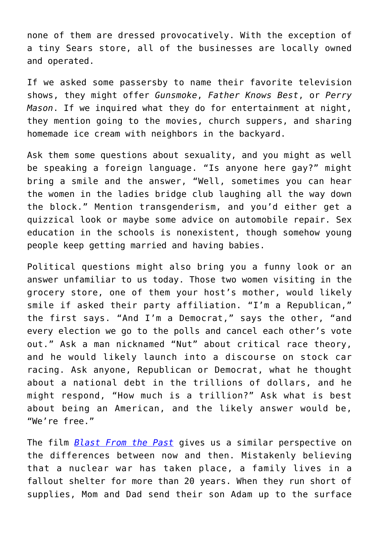none of them are dressed provocatively. With the exception of a tiny Sears store, all of the businesses are locally owned and operated.

If we asked some passersby to name their favorite television shows, they might offer *Gunsmoke*, *Father Knows Best*, or *Perry Mason*. If we inquired what they do for entertainment at night, they mention going to the movies, church suppers, and sharing homemade ice cream with neighbors in the backyard.

Ask them some questions about sexuality, and you might as well be speaking a foreign language. "Is anyone here gay?" might bring a smile and the answer, "Well, sometimes you can hear the women in the ladies bridge club laughing all the way down the block." Mention transgenderism, and you'd either get a quizzical look or maybe some advice on automobile repair. Sex education in the schools is nonexistent, though somehow young people keep getting married and having babies.

Political questions might also bring you a funny look or an answer unfamiliar to us today. Those two women visiting in the grocery store, one of them your host's mother, would likely smile if asked their party affiliation. "I'm a Republican," the first says. "And I'm a Democrat," says the other, "and every election we go to the polls and cancel each other's vote out." Ask a man nicknamed "Nut" about critical race theory, and he would likely launch into a discourse on stock car racing. Ask anyone, Republican or Democrat, what he thought about a national debt in the trillions of dollars, and he might respond, "How much is a trillion?" Ask what is best about being an American, and the likely answer would be, "We're free."

The film *[Blast From the Past](https://www.imdb.com/title/tt0124298/)* gives us a similar perspective on the differences between now and then. Mistakenly believing that a nuclear war has taken place, a family lives in a fallout shelter for more than 20 years. When they run short of supplies, Mom and Dad send their son Adam up to the surface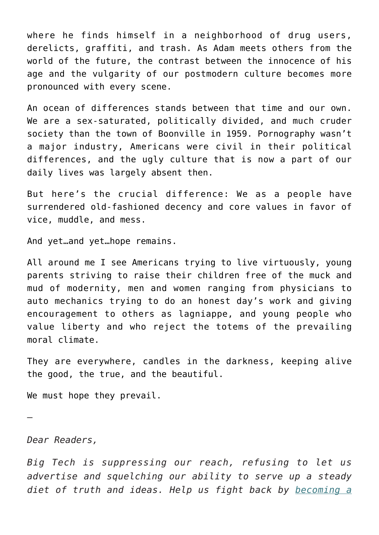where he finds himself in a neighborhood of drug users, derelicts, graffiti, and trash. As Adam meets others from the world of the future, the contrast between the innocence of his age and the vulgarity of our postmodern culture becomes more pronounced with every scene.

An ocean of differences stands between that time and our own. We are a sex-saturated, politically divided, and much cruder society than the town of Boonville in 1959. Pornography wasn't a major industry, Americans were civil in their political differences, and the ugly culture that is now a part of our daily lives was largely absent then.

But here's the crucial difference: We as a people have surrendered old-fashioned decency and core values in favor of vice, muddle, and mess.

And yet…and yet…hope remains.

All around me I see Americans trying to live virtuously, young parents striving to raise their children free of the muck and mud of modernity, men and women ranging from physicians to auto mechanics trying to do an honest day's work and giving encouragement to others as lagniappe, and young people who value liberty and who reject the totems of the prevailing moral climate.

They are everywhere, candles in the darkness, keeping alive the good, the true, and the beautiful.

We must hope they prevail.

*Dear Readers,*

—

*Big Tech is suppressing our reach, refusing to let us advertise and squelching our ability to serve up a steady diet of truth and ideas. Help us fight back by [becoming a](https://www.chroniclesmagazine.org/subscribe/)*